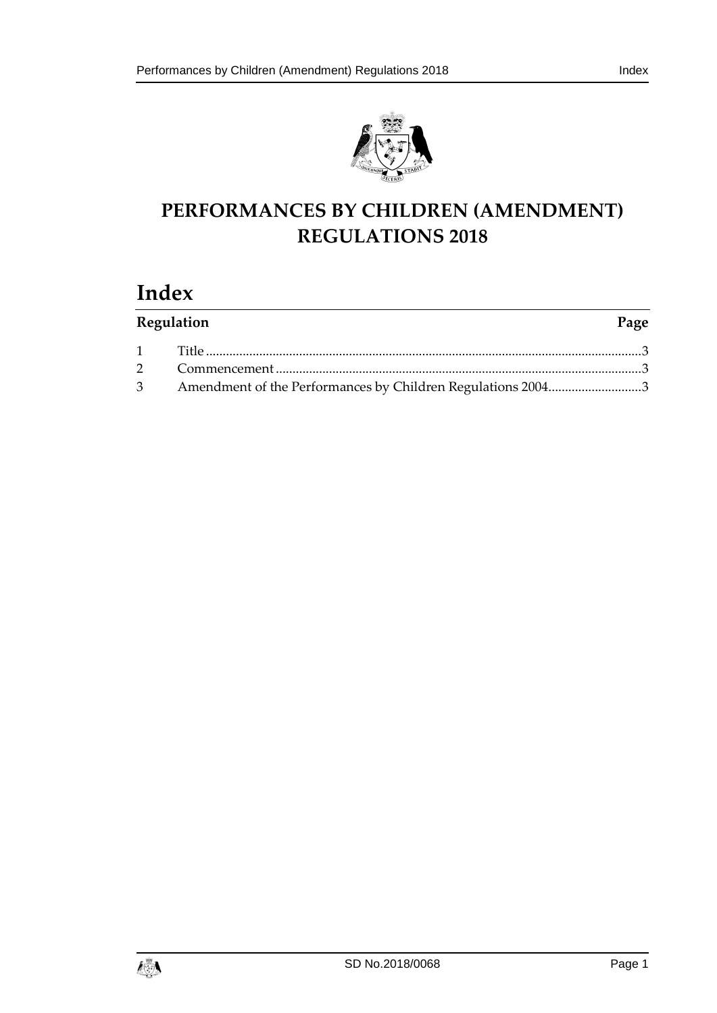

## **PERFORMANCES BY CHILDREN (AMENDMENT) REGULATIONS 2018**

# **Index**

| Regulation |                                                               | Page |
|------------|---------------------------------------------------------------|------|
|            |                                                               |      |
|            |                                                               |      |
|            | 3 Amendment of the Performances by Children Regulations 20043 |      |

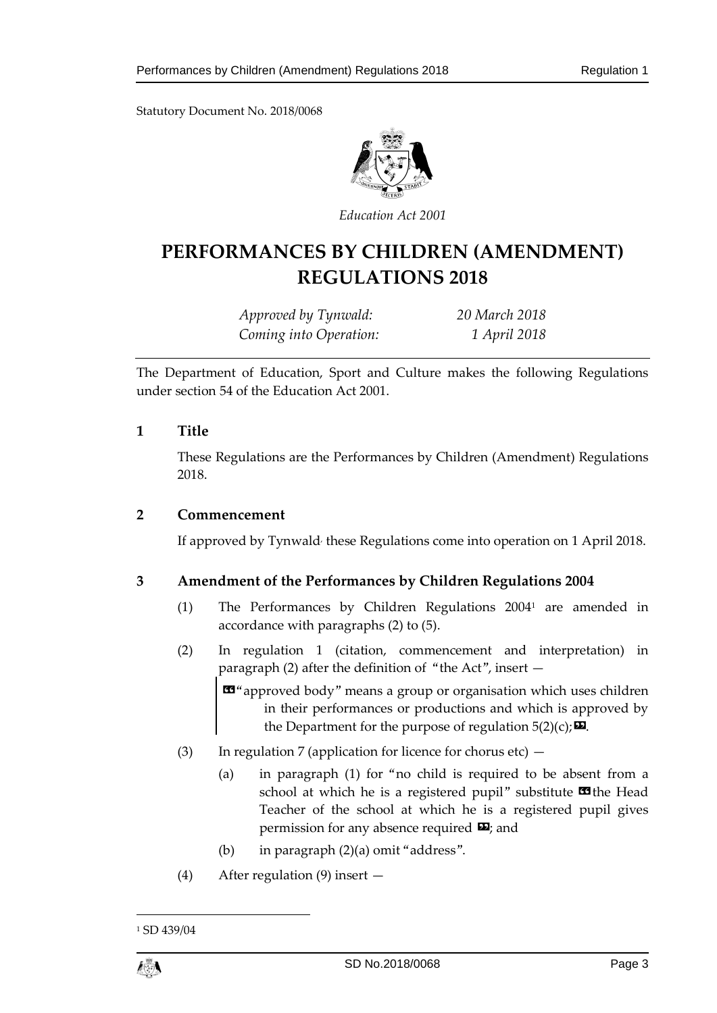Statutory Document No. 2018/0068



*Education Act 2001*

## **PERFORMANCES BY CHILDREN (AMENDMENT) REGULATIONS 2018**

*Approved by Tynwald: 20 March 2018 Coming into Operation: 1 April 2018*

The Department of Education, Sport and Culture makes the following Regulations under section 54 of the Education Act 2001.

#### <span id="page-2-0"></span>**1 Title**

These Regulations are the Performances by Children (Amendment) Regulations 2018.

#### <span id="page-2-1"></span>**2 Commencement**

If approved by Tynwald<sup>,</sup> these Regulations come into operation on 1 April 2018.

### <span id="page-2-2"></span>**3 Amendment of the Performances by Children Regulations 2004**

- (1) The Performances by Children Regulations 2004<sup>1</sup> are amended in accordance with paragraphs (2) to (5).
- (2) In regulation 1 (citation, commencement and interpretation) in paragraph (2) after the definition of "the Act", insert —

«"approved body" means a group or organisation which uses children in their performances or productions and which is approved by the Department for the purpose of regulation  $5(2)(c)$ ;  $\Box$ .

- (3) In regulation 7 (application for licence for chorus etc)
	- (a) in paragraph (1) for "no child is required to be absent from a school at which he is a registered pupil" substitute  $\blacksquare$  the Head Teacher of the school at which he is a registered pupil gives permission for any absence required  $\mathbf{E}$ ; and
	- (b) in paragraph (2)(a) omit "address".
- (4) After regulation (9) insert —

<sup>&</sup>lt;sup>1</sup> SD 439/04



1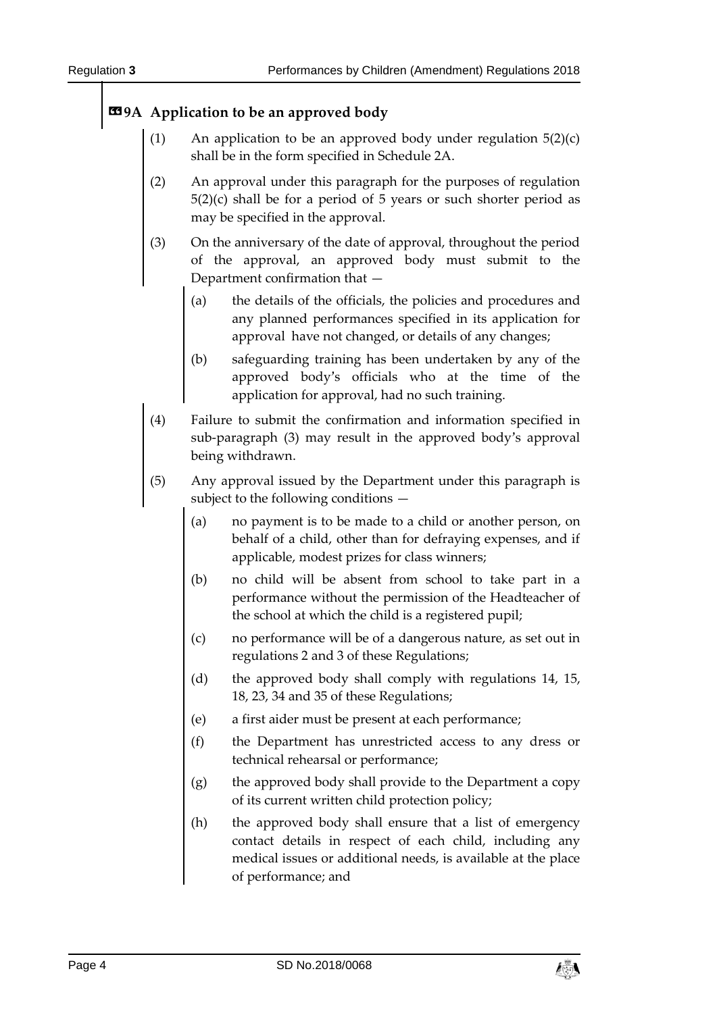### **«9A Application to be an approved body**

- (1) An application to be an approved body under regulation  $5(2)(c)$ shall be in the form specified in Schedule 2A.
- (2) An approval under this paragraph for the purposes of regulation 5(2)(c) shall be for a period of 5 years or such shorter period as may be specified in the approval.
- (3) On the anniversary of the date of approval, throughout the period of the approval, an approved body must submit to the Department confirmation that —
	- (a) the details of the officials, the policies and procedures and any planned performances specified in its application for approval have not changed, or details of any changes;
	- (b) safeguarding training has been undertaken by any of the approved body's officials who at the time of the application for approval, had no such training.
- (4) Failure to submit the confirmation and information specified in sub-paragraph (3) may result in the approved body's approval being withdrawn.
- (5) Any approval issued by the Department under this paragraph is subject to the following conditions —
	- (a) no payment is to be made to a child or another person, on behalf of a child, other than for defraying expenses, and if applicable, modest prizes for class winners;
	- (b) no child will be absent from school to take part in a performance without the permission of the Headteacher of the school at which the child is a registered pupil;
	- (c) no performance will be of a dangerous nature, as set out in regulations 2 and 3 of these Regulations;
	- (d) the approved body shall comply with regulations 14, 15, 18, 23, 34 and 35 of these Regulations;
	- (e) a first aider must be present at each performance;
	- (f) the Department has unrestricted access to any dress or technical rehearsal or performance;
	- (g) the approved body shall provide to the Department a copy of its current written child protection policy;
	- (h) the approved body shall ensure that a list of emergency contact details in respect of each child, including any medical issues or additional needs, is available at the place of performance; and

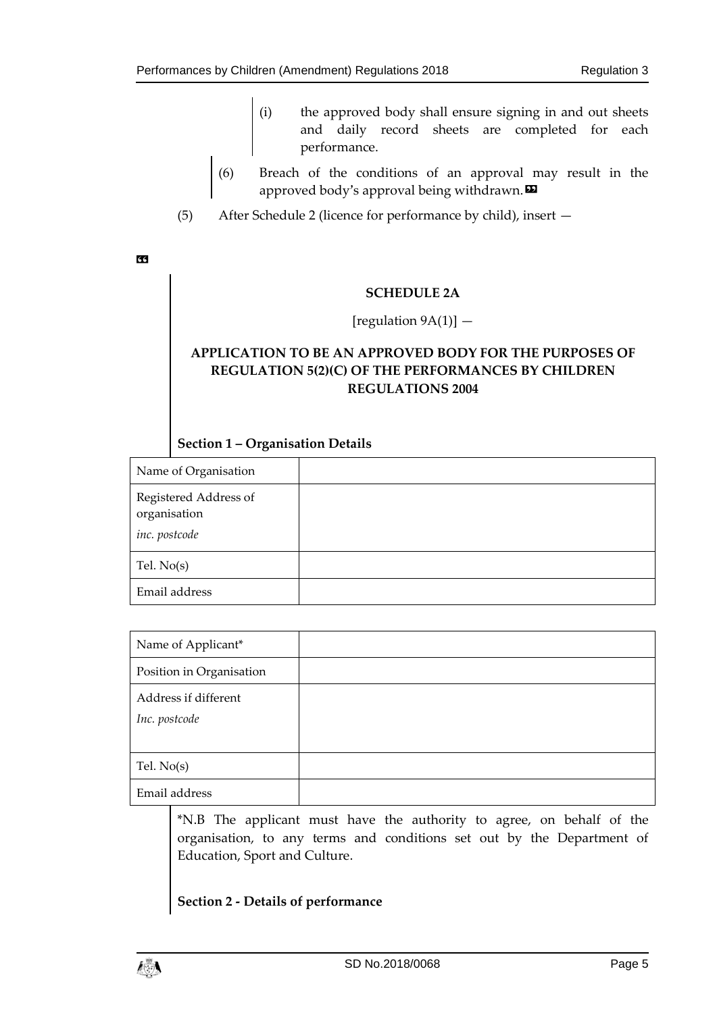- (i) the approved body shall ensure signing in and out sheets and daily record sheets are completed for each performance.
- (6) Breach of the conditions of an approval may result in the approved body's approval being withdrawn. $\boldsymbol{\mathsf{\Xi}}$
- (5) After Schedule 2 (licence for performance by child), insert —

«

#### **SCHEDULE 2A**

#### [regulation  $9A(1)$ ]  $-$

### **APPLICATION TO BE AN APPROVED BODY FOR THE PURPOSES OF REGULATION 5(2)(C) OF THE PERFORMANCES BY CHILDREN REGULATIONS 2004**

#### **Section 1 – Organisation Details**

| Name of Organisation                                   |  |
|--------------------------------------------------------|--|
| Registered Address of<br>organisation<br>inc. postcode |  |
| Tel. $No(s)$                                           |  |
| Email address                                          |  |

| Name of Applicant*                    |  |
|---------------------------------------|--|
| Position in Organisation              |  |
| Address if different<br>Inc. postcode |  |
| Tel. $No(s)$                          |  |
| Email address                         |  |

\*N.B The applicant must have the authority to agree, on behalf of the organisation, to any terms and conditions set out by the Department of Education, Sport and Culture.

## **Section 2 - Details of performance**

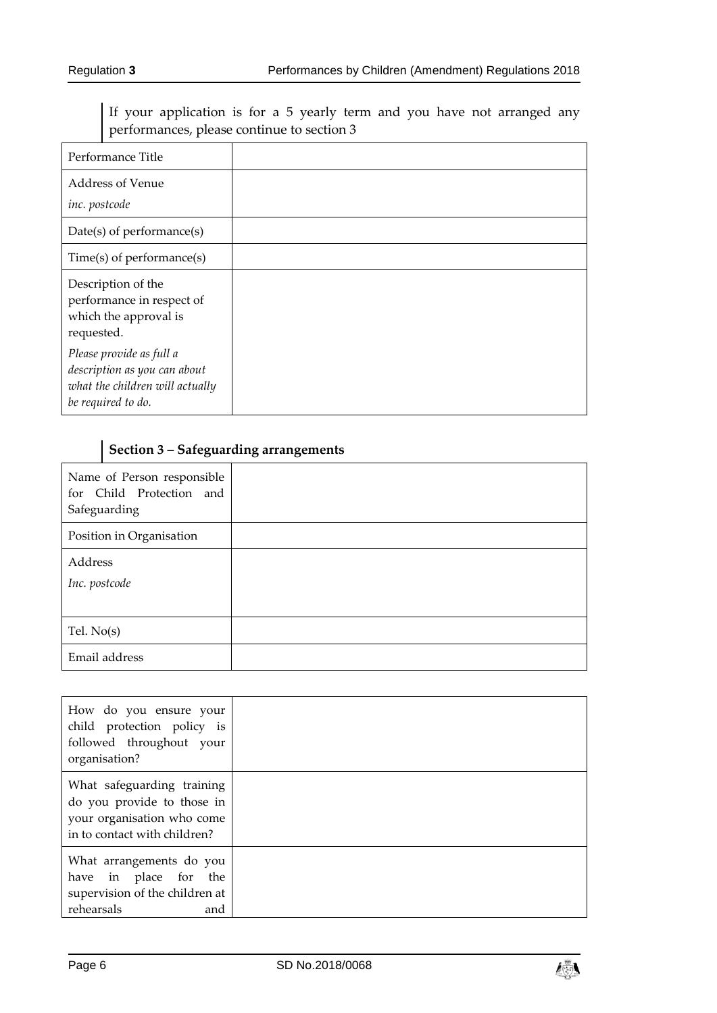If your application is for a 5 yearly term and you have not arranged any performances, please continue to section 3

| Performance Title                                                                                                 |  |
|-------------------------------------------------------------------------------------------------------------------|--|
| Address of Venue<br>inc. postcode                                                                                 |  |
| Date(s) of performance(s)                                                                                         |  |
| $Time(s)$ of performance $(s)$                                                                                    |  |
| Description of the<br>performance in respect of<br>which the approval is<br>requested.                            |  |
| Please provide as full a<br>description as you can about<br>what the children will actually<br>be required to do. |  |

## **Section 3 – Safeguarding arrangements**

| Name of Person responsible<br>for Child Protection and<br>Safeguarding |  |
|------------------------------------------------------------------------|--|
| Position in Organisation                                               |  |
| Address                                                                |  |
| Inc. postcode                                                          |  |
|                                                                        |  |
| Tel. $No(s)$                                                           |  |
| Email address                                                          |  |

| How do you ensure your<br>child protection policy is<br>followed throughout your<br>organisation?                      |  |
|------------------------------------------------------------------------------------------------------------------------|--|
| What safeguarding training<br>do you provide to those in<br>your organisation who come<br>in to contact with children? |  |
| What arrangements do you<br>have in place for the<br>supervision of the children at<br>rehearsals<br>and               |  |

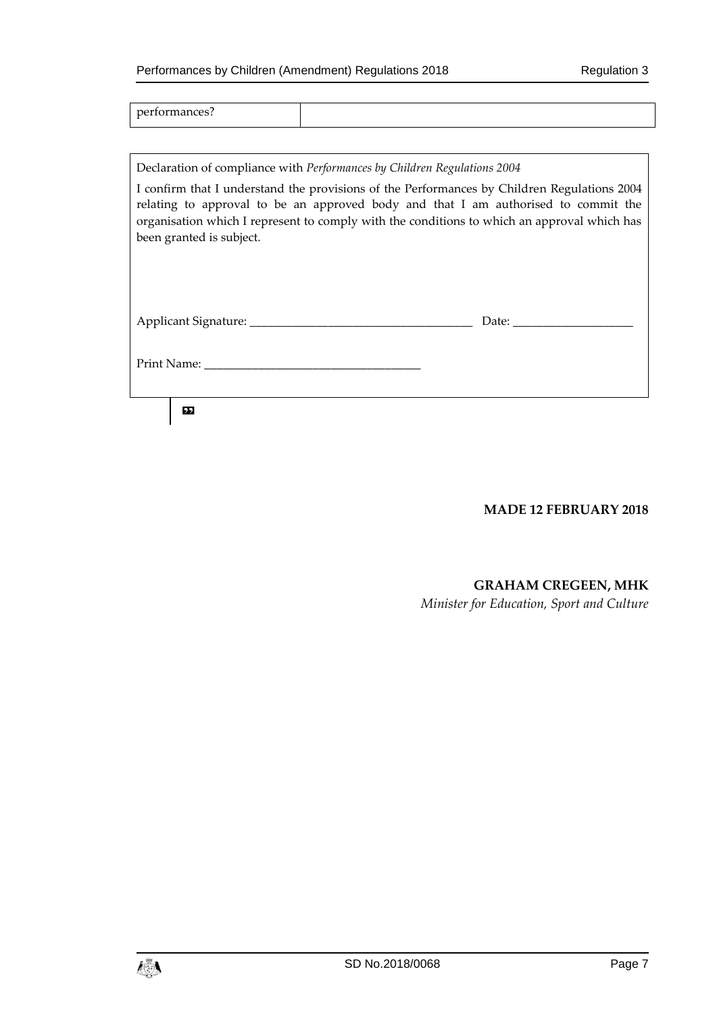performances?

Declaration of compliance with *Performances by Children Regulations 2004*

I confirm that I understand the provisions of the Performances by Children Regulations 2004 relating to approval to be an approved body and that I am authorised to commit the organisation which I represent to comply with the conditions to which an approval which has been granted is subject.

| Applicant Signature: |  |
|----------------------|--|
|----------------------|--|

Print Name:

»

**MADE 12 FEBRUARY 2018**

#### **GRAHAM CREGEEN, MHK**

*Minister for Education, Sport and Culture*